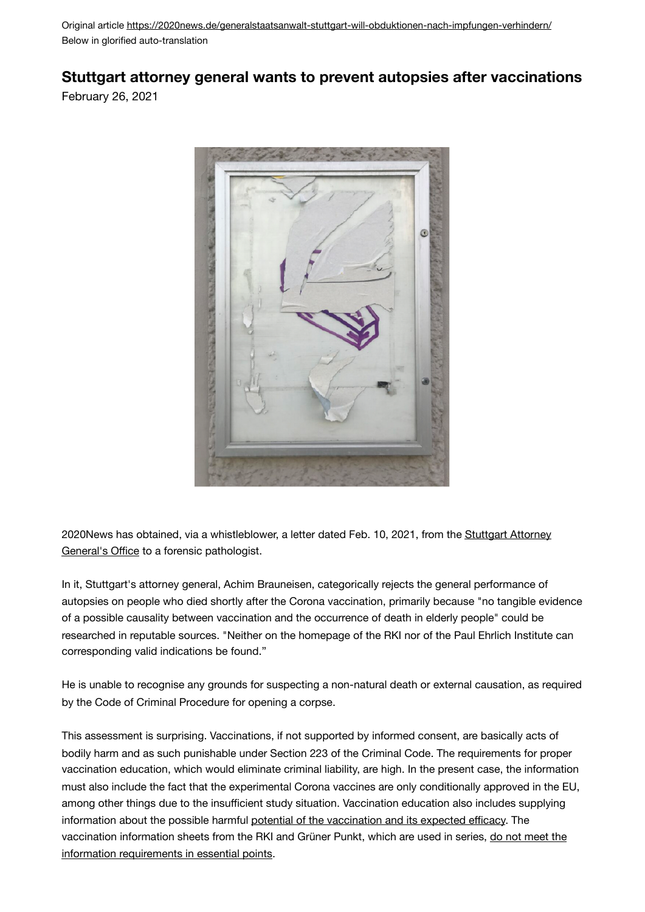Original article<https://2020news.de/generalstaatsanwalt-stuttgart-will-obduktionen-nach-impfungen-verhindern/> Below in glorified auto-translation

## **Stuttgart attorney general wants to prevent autopsies after vaccinations**

February 26, 2021



2020News has obtained, via a whistleblower, a letter dated Feb. 10, 2021, from the Stuttgart Attorney [General's O](https://2020news.de/wp-content/uploads/2021/02/GenStA-Stuttgart-keine-Obduktion-bei-Toten-nach-Impfung_online.pdf)ffice to a forensic pathologist.

In it, Stuttgart's attorney general, Achim Brauneisen, categorically rejects the general performance of autopsies on people who died shortly after the Corona vaccination, primarily because "no tangible evidence of a possible causality between vaccination and the occurrence of death in elderly people" could be researched in reputable sources. "Neither on the homepage of the RKI nor of the Paul Ehrlich Institute can corresponding valid indications be found."

He is unable to recognise any grounds for suspecting a non-natural death or external causation, as required by the Code of Criminal Procedure for opening a corpse.

This assessment is surprising. Vaccinations, if not supported by informed consent, are basically acts of bodily harm and as such punishable under Section 223 of the Criminal Code. The requirements for proper vaccination education, which would eliminate criminal liability, are high. In the present case, the information must also include the fact that the experimental Corona vaccines are only conditionally approved in the EU, among other things due to the insufficient study situation. Vaccination education also includes supplying information about the possible harmful [potential of the vaccination](https://2020news.de/riesen-skandal-aufgedeckt-covid-19-impfung-zerstoert-unser-immunsystem-nachhaltig/) [and its expected e](https://2020news.de/die-95-wirksamkeit-der-impfstoffe-von-pfizer-und-moderna-zurueckhaltung-ist-geboten-solange-wir-die-vollstaendigen-daten-nicht-gesehen-haben/)fficacy. The vaccination information sheets from the RKI and Grüner Punkt, which are used in series, [do not meet the](https://2020news.de/massenhaft-nichtige-impfeinwilligungen/)  [information requirements in essential points](https://2020news.de/massenhaft-nichtige-impfeinwilligungen/).